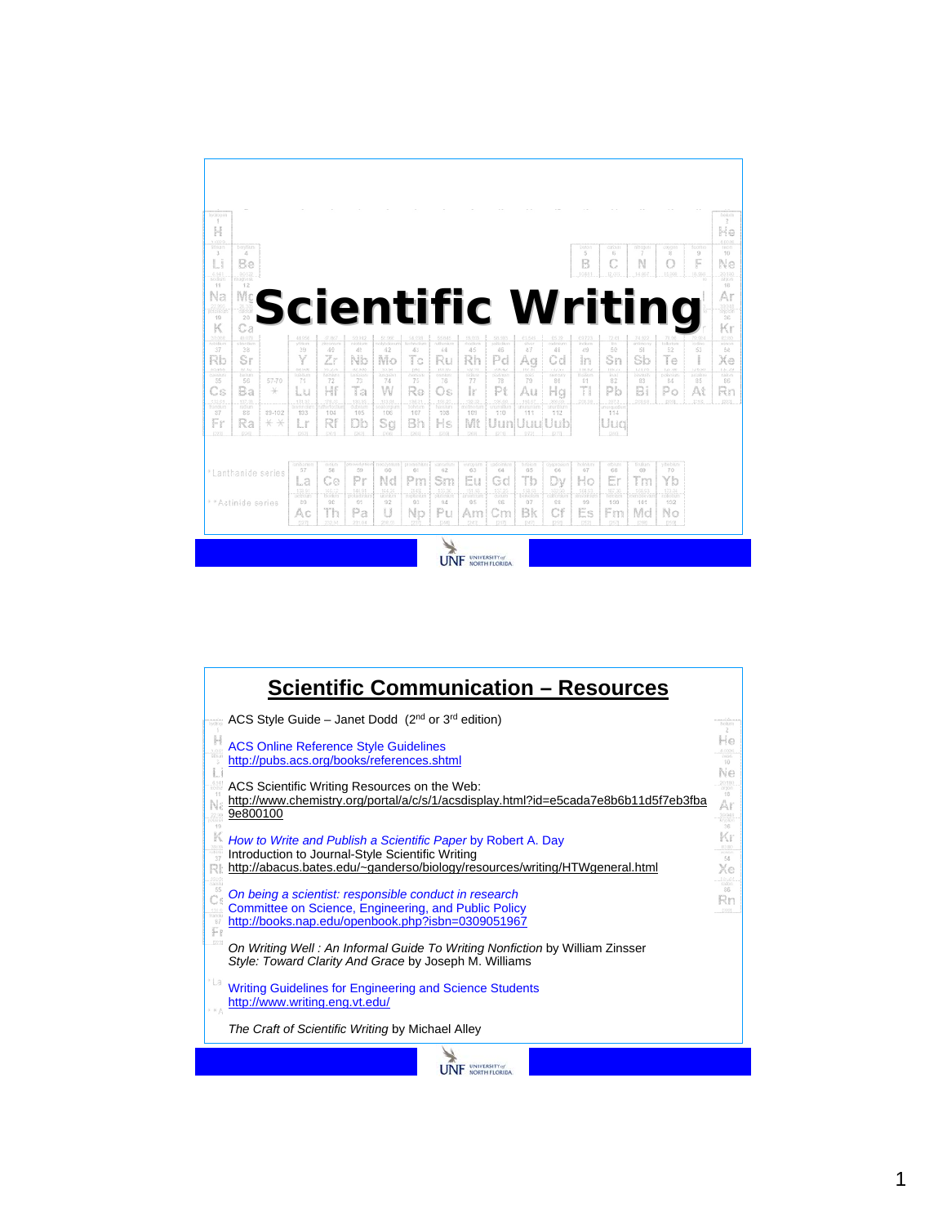| 53369<br>PERMIT<br><b>Bandridge</b><br>mente<br>term<br>enriton<br>mineser<br>OWNER<br>3<br>5<br>7<br>$\Delta$<br>s<br>S.<br>3<br>F<br>C<br>Li<br>B<br>N<br>Be<br>O<br>$\frac{1241}{10100}$<br>20122<br>1981<br>22.021<br>14,007<br>15,000<br>.13,953<br>magain<br>11<br>12<br>Na<br>$\mathbb{M} \mathbb{Q}$<br>Ar<br><b>Scientific Writing</b><br>addom<br>28<br>19<br>K<br>Сa<br>10.020<br>$\frac{12.078}{440.08 \times 10^{-4}}$<br>01.000<br>58.ccc<br>器<br>쪻<br>51,000   51,000<br>  nothinum   historia<br>$\frac{41.22}{\cos 0.010}$<br>饂<br>ndvetin<br><b>COOL</b><br>ntinin<br>striun<br>zhoorium<br>nichtum<br><b>SECTION</b><br>teheten<br><b>Softe</b><br>46<br>42<br>50<br>38<br>39<br>40<br>diff<br>48<br>68<br>52<br>63<br>37<br>45<br>42<br>43<br>44<br>43<br>Zr<br>Y<br>Nb<br>Tс<br>Tθ<br>Rb<br>Sr<br>Mo<br>Rh<br>Sb<br>Xe<br>Pd<br>Cd<br>Sn<br>Ag<br>in<br>Ru<br>10,000<br>$\frac{07,62}{0.0107}$<br>$151 - 151$<br>101,02<br>121.70<br>127,86<br>126.91<br>49,935<br>21,223<br>$\frac{32,200}{\pi}$<br>25.94<br>10221<br>$\frac{108.82}{10193.03}$<br>$\frac{114.62}{3.6369}$<br>$\frac{(10, 2)}{1000}$<br><b>COLL</b><br>112,41<br>0.03<br>GOURAN<br><b>COUNTY</b><br>39886<br><b>AND PIPER</b><br><b>SORICICA</b><br>76<br>55<br>5G<br>57-70<br>T1<br>72<br>TS<br>74<br>78<br>77<br>73<br>79<br>35<br>22<br>33<br>2.4<br>gg.<br>Si<br>Ta<br>Hf<br>W<br>T<br>Cs<br>Ba<br>Re<br>lr.<br>Pi<br>Pb<br>Bi<br>At<br>Lu<br>Po<br>Au<br>Hg<br>*<br>Os<br>$\begin{array}{c} 137.33 \\ \text{Im}\, 331 \end{array}$<br>174.07<br>$\frac{175.65}{2000}$<br>群體<br>195.00<br>$\frac{552,01}{7,00000}$<br>$\frac{133.35}{100000}$<br>186.21.<br>Dobra<br>195.23<br>Nasqum<br>$\frac{18.32}{1000}$<br>193,17<br>an I<br>.20138<br>1972<br>3213<br>209.93<br>12051<br><b>TOPTERS</b><br>tasmitir<br>nunzia<br>rassurb<br>135<br>107<br>112<br>22<br>33-102<br>104<br>105<br>108<br>103<br>110<br>111<br>114<br>37<br>103<br>Fr<br>Rf<br>Bh<br>Db<br>Mt<br>Ra<br>Sg<br>Hs<br>Lr<br>Uud<br>lun<br>Шц<br>inn<br>* *<br>peop<br>ECSI<br>1223<br>.523<br>1201<br>various ex<br><b>MAGES</b><br>OWNERS<br><b>Harodyres</b><br><b>EXISTENTIAL</b><br>NUMBER<br>PERMIT<br>enteren<br><b>Britainers</b><br><b>PERMITT</b><br>PATIES<br><b>San Ford</b><br>NUMBER<br><b>SYNNOSY</b><br>57<br>76<br>58<br>59<br>66<br>61<br>62<br>63<br>64<br>65<br>66<br>67<br>68<br>69<br>*Lanthanide series<br>Tb<br>Er<br>Ce<br>Nd<br>Tm<br>Yb<br>Pr<br>Sm<br>Ho<br>Pm<br>Gd<br>La<br>Eu<br>Đν<br>$-139.91$<br>151.93<br>157.25<br>173.04<br>140.52<br>$-140.01$<br>366,26<br>计线<br>199.96<br>$\frac{151.93}{50000000}$<br>164.93<br>$\frac{107.26}{1000000}$<br>1691.011<br>printing<br><b>ICO OCER</b><br>reboker<br>1200000<br><b>AMERICA</b><br>1202001<br>cultivator<br><b>COSTER</b><br><b>CODITATION</b><br>** Actinide series<br>89<br>30<br>91<br>32<br>93<br>24<br>95<br>35<br>97<br>38<br>102<br>99<br>100<br>101 | Increme<br>1<br>H |  |  |  |  |  |  |  |  | reton<br>2<br>He                              |
|-----------------------------------------------------------------------------------------------------------------------------------------------------------------------------------------------------------------------------------------------------------------------------------------------------------------------------------------------------------------------------------------------------------------------------------------------------------------------------------------------------------------------------------------------------------------------------------------------------------------------------------------------------------------------------------------------------------------------------------------------------------------------------------------------------------------------------------------------------------------------------------------------------------------------------------------------------------------------------------------------------------------------------------------------------------------------------------------------------------------------------------------------------------------------------------------------------------------------------------------------------------------------------------------------------------------------------------------------------------------------------------------------------------------------------------------------------------------------------------------------------------------------------------------------------------------------------------------------------------------------------------------------------------------------------------------------------------------------------------------------------------------------------------------------------------------------------------------------------------------------------------------------------------------------------------------------------------------------------------------------------------------------------------------------------------------------------------------------------------------------------------------------------------------------------------------------------------------------------------------------------------------------------------------------------------------------------------------------------------------------------------------------------------------------------------------------------------------------------------------------------------------------------------------------------------------------------------------------------------------------------------------------------------------------------------------------------------------------------------------------------------------------------------------------------------------------------------------------------------------------------------------------------------|-------------------|--|--|--|--|--|--|--|--|-----------------------------------------------|
|                                                                                                                                                                                                                                                                                                                                                                                                                                                                                                                                                                                                                                                                                                                                                                                                                                                                                                                                                                                                                                                                                                                                                                                                                                                                                                                                                                                                                                                                                                                                                                                                                                                                                                                                                                                                                                                                                                                                                                                                                                                                                                                                                                                                                                                                                                                                                                                                                                                                                                                                                                                                                                                                                                                                                                                                                                                                                                           |                   |  |  |  |  |  |  |  |  | $\frac{4.0.14}{1000}$<br>10<br>Ne<br>為理<br>12 |
|                                                                                                                                                                                                                                                                                                                                                                                                                                                                                                                                                                                                                                                                                                                                                                                                                                                                                                                                                                                                                                                                                                                                                                                                                                                                                                                                                                                                                                                                                                                                                                                                                                                                                                                                                                                                                                                                                                                                                                                                                                                                                                                                                                                                                                                                                                                                                                                                                                                                                                                                                                                                                                                                                                                                                                                                                                                                                                           |                   |  |  |  |  |  |  |  |  | 語語<br>36<br>Kr<br>21.02<br>wren<br>54         |
|                                                                                                                                                                                                                                                                                                                                                                                                                                                                                                                                                                                                                                                                                                                                                                                                                                                                                                                                                                                                                                                                                                                                                                                                                                                                                                                                                                                                                                                                                                                                                                                                                                                                                                                                                                                                                                                                                                                                                                                                                                                                                                                                                                                                                                                                                                                                                                                                                                                                                                                                                                                                                                                                                                                                                                                                                                                                                                           |                   |  |  |  |  |  |  |  |  | $\frac{123 - 24}{6666}$<br>35<br>Rn<br>F31    |
|                                                                                                                                                                                                                                                                                                                                                                                                                                                                                                                                                                                                                                                                                                                                                                                                                                                                                                                                                                                                                                                                                                                                                                                                                                                                                                                                                                                                                                                                                                                                                                                                                                                                                                                                                                                                                                                                                                                                                                                                                                                                                                                                                                                                                                                                                                                                                                                                                                                                                                                                                                                                                                                                                                                                                                                                                                                                                                           |                   |  |  |  |  |  |  |  |  |                                               |
|                                                                                                                                                                                                                                                                                                                                                                                                                                                                                                                                                                                                                                                                                                                                                                                                                                                                                                                                                                                                                                                                                                                                                                                                                                                                                                                                                                                                                                                                                                                                                                                                                                                                                                                                                                                                                                                                                                                                                                                                                                                                                                                                                                                                                                                                                                                                                                                                                                                                                                                                                                                                                                                                                                                                                                                                                                                                                                           |                   |  |  |  |  |  |  |  |  |                                               |
| Es<br>Th<br>Pa<br>U<br>Bk<br>Cf<br>Pu<br>Md<br>Np<br>Аc<br>No<br>Am<br>Hm<br>Cm<br>(246)<br><b>SECT</b><br>222000<br>231.01<br>226.03<br>0591<br>52.67<br>pas<br>12573<br>gives                                                                                                                                                                                                                                                                                                                                                                                                                                                                                                                                                                                                                                                                                                                                                                                                                                                                                                                                                                                                                                                                                                                                                                                                                                                                                                                                                                                                                                                                                                                                                                                                                                                                                                                                                                                                                                                                                                                                                                                                                                                                                                                                                                                                                                                                                                                                                                                                                                                                                                                                                                                                                                                                                                                           |                   |  |  |  |  |  |  |  |  |                                               |

| <b>Scientific Communication - Resources</b>                                                                                                                                                                                              |                                     |
|------------------------------------------------------------------------------------------------------------------------------------------------------------------------------------------------------------------------------------------|-------------------------------------|
| ACS Style Guide – Janet Dodd $(2^{nd}$ or 3 <sup>rd</sup> edition)                                                                                                                                                                       | harava                              |
| $\frac{1}{2}$<br><b>ACS Online Reference Style Guidelines</b><br>http://pubs.acs.org/books/references.shtml<br>$\overline{3}$<br>IJ                                                                                                      | He                                  |
| ÷H<br>ACS Scientific Writing Resources on the Web:<br>http://www.chemistry.org/portal/a/c/s/1/acsdisplay.html?id=e5cada7e8b6b11d5f7eb3fba<br>9e800100                                                                                    | 18<br>Ar<br>13.548<br>uyobe         |
| 19<br>K<br>How to Write and Publish a Scientific Paper by Robert A. Day<br>33.08<br>$rac{1}{37}$<br>Introduction to Journal-Style Scientific Writing<br>http://abacus.bates.edu/~ganderso/biology/resources/writing/HTWgeneral.html<br>R | 36<br>Κr<br><b>DOM:</b><br>66<br>Хe |
| 55<br>On being a scientist: responsible conduct in research<br>Committee on Science, Engineering, and Public Policy<br>$\frac{132.0}{87000}$<br>http://books.nap.edu/openbook.php?isbn=0309051967                                        | BBC.<br>86                          |
| 1328<br>On Writing Well: An Informal Guide To Writing Nonfiction by William Zinsser<br>Style: Toward Clarity And Grace by Joseph M. Williams                                                                                             |                                     |
| *La<br><b>Writing Guidelines for Engineering and Science Students</b><br>http://www.writing.eng.vt.edu/                                                                                                                                  |                                     |
| The Craft of Scientific Writing by Michael Alley                                                                                                                                                                                         |                                     |
|                                                                                                                                                                                                                                          |                                     |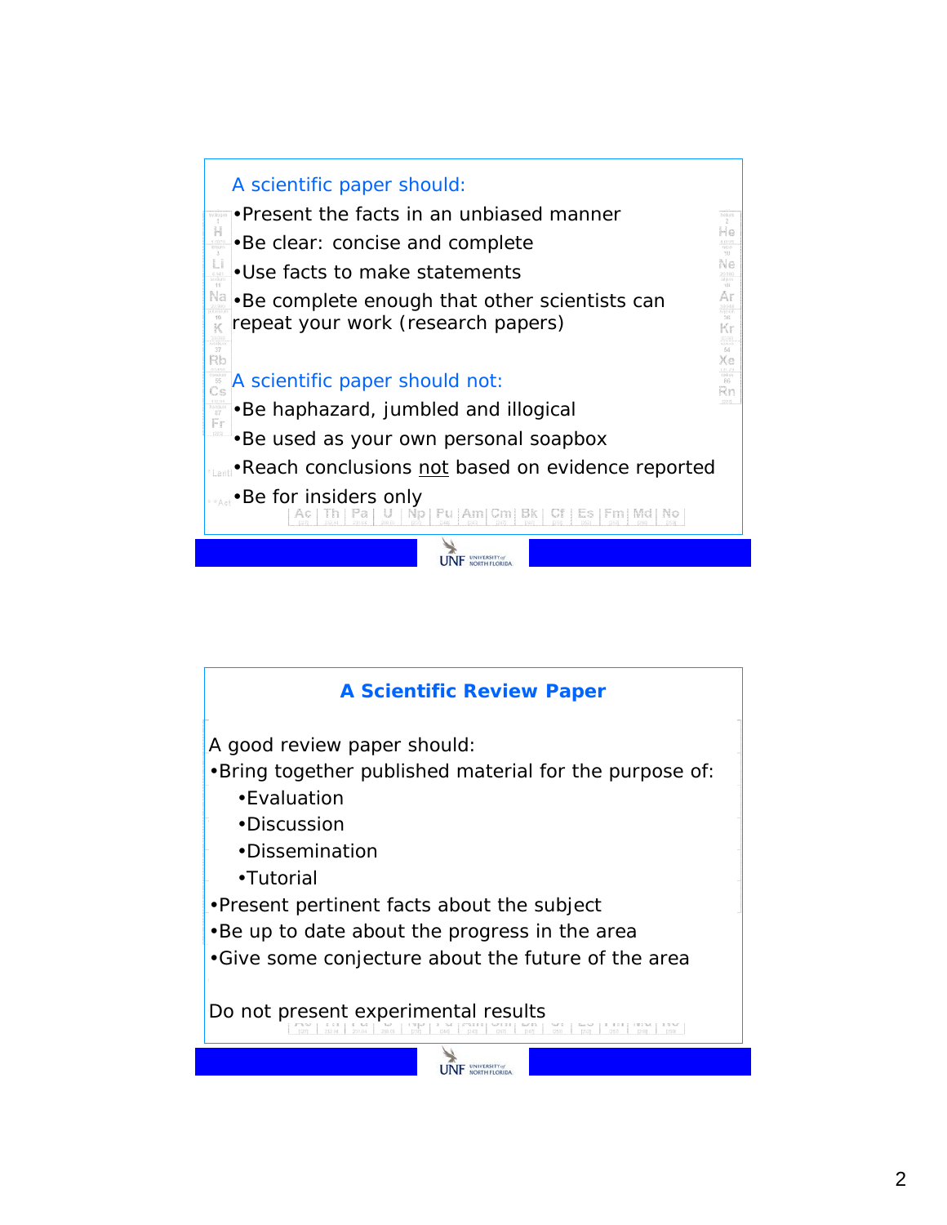

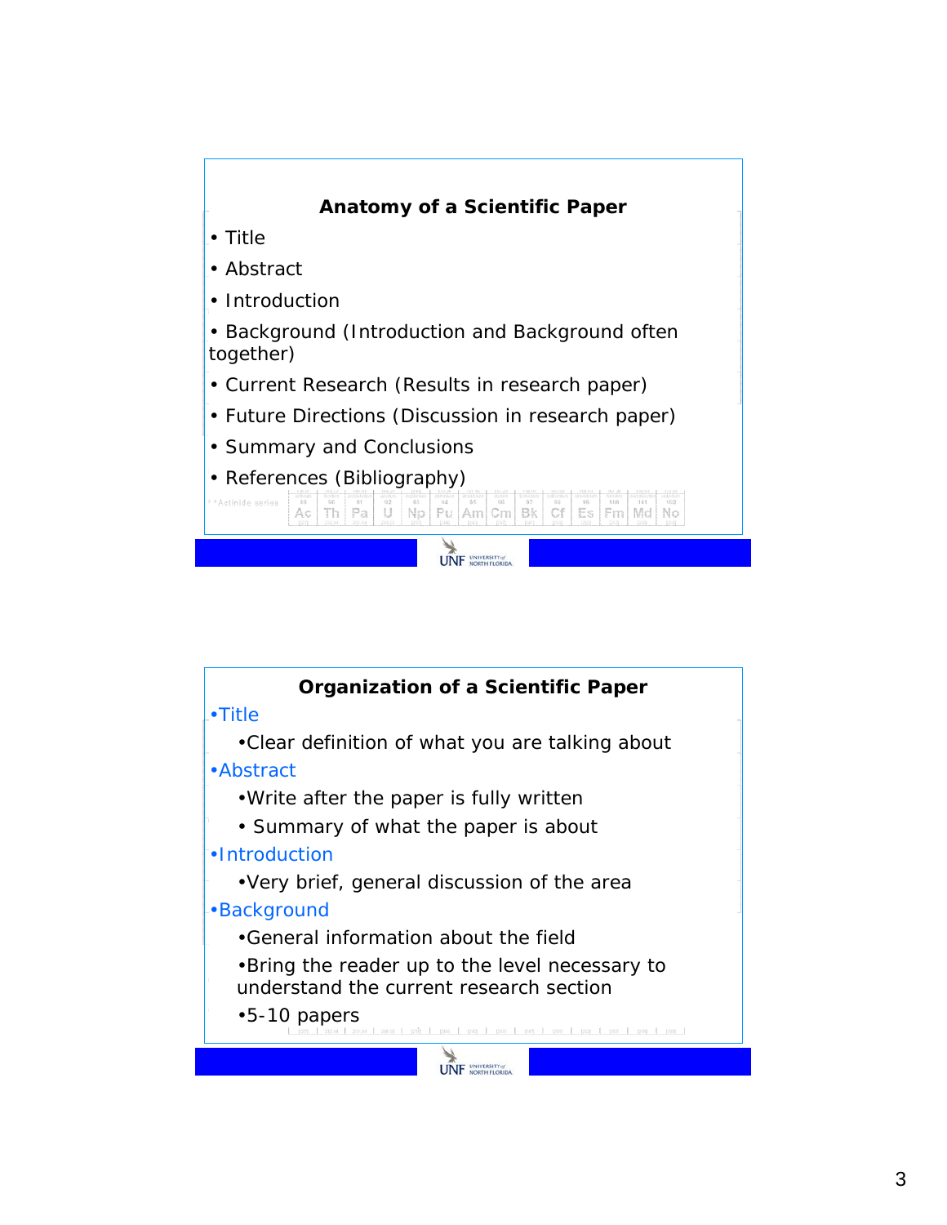

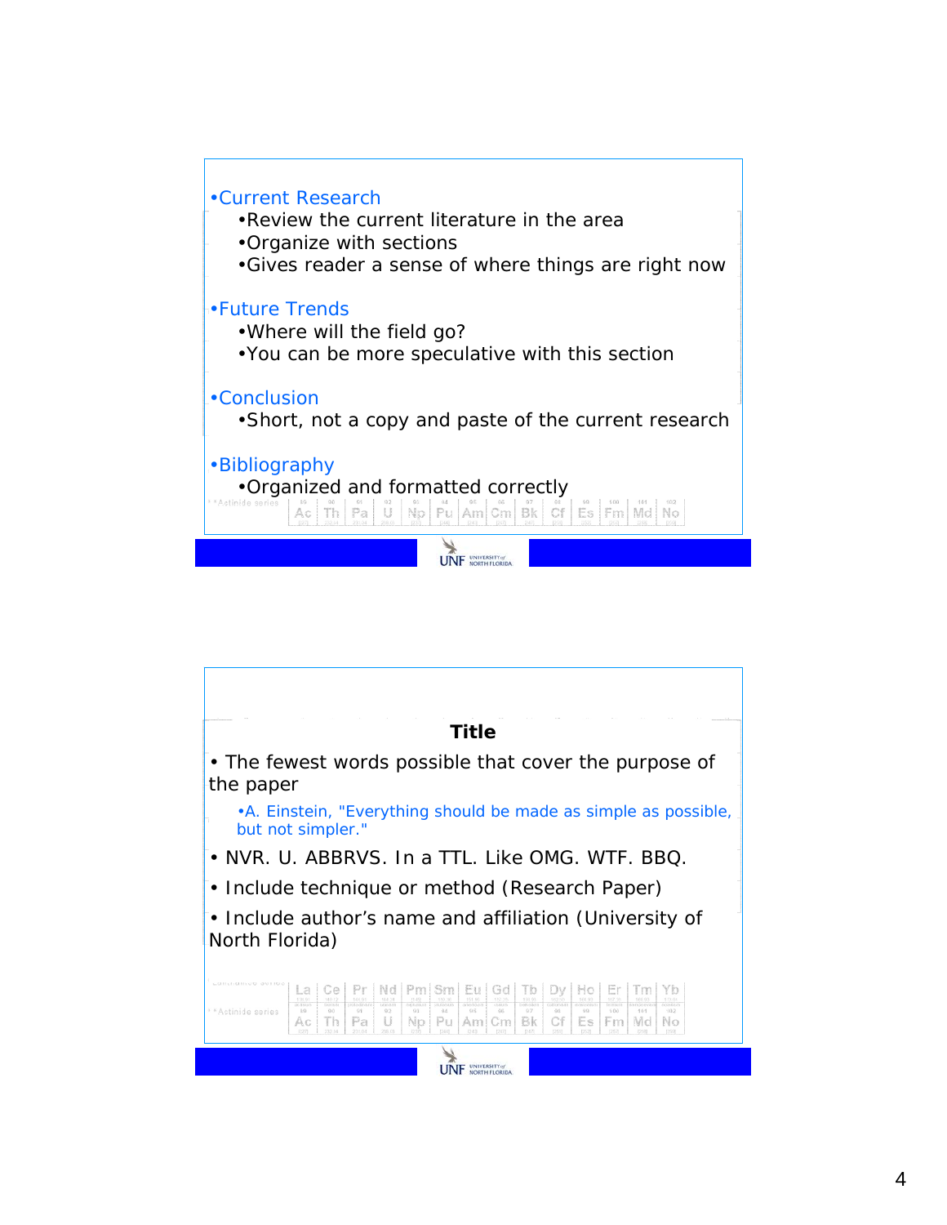

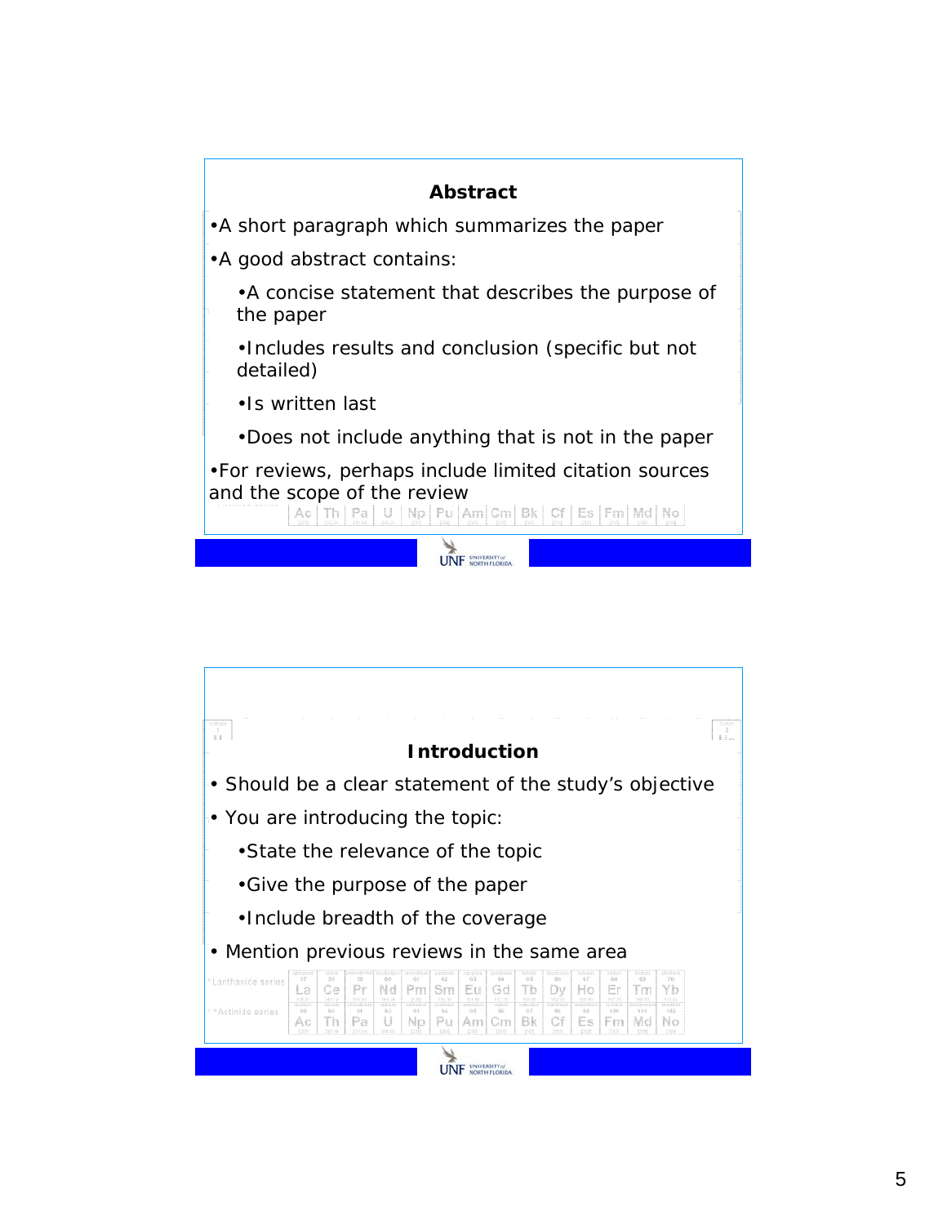

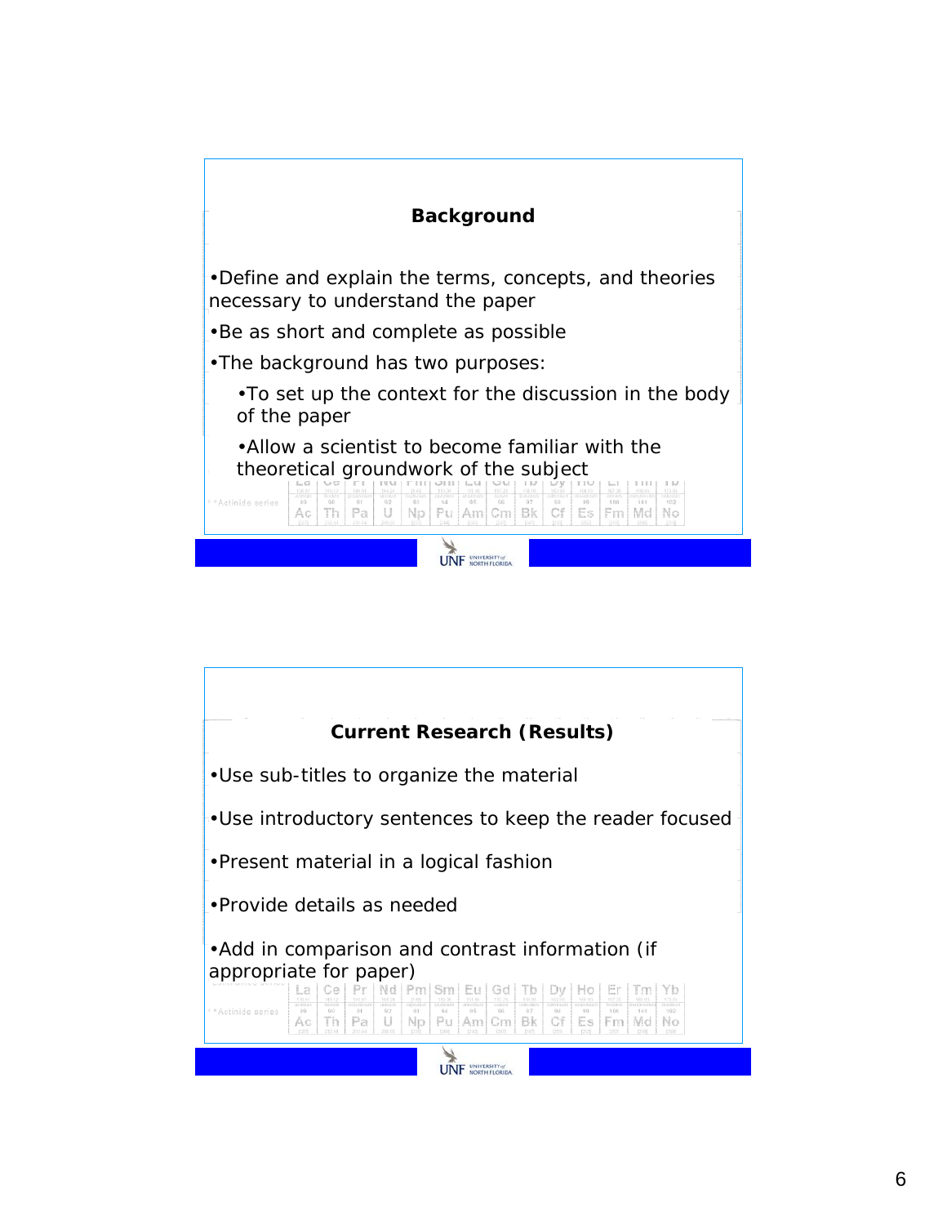

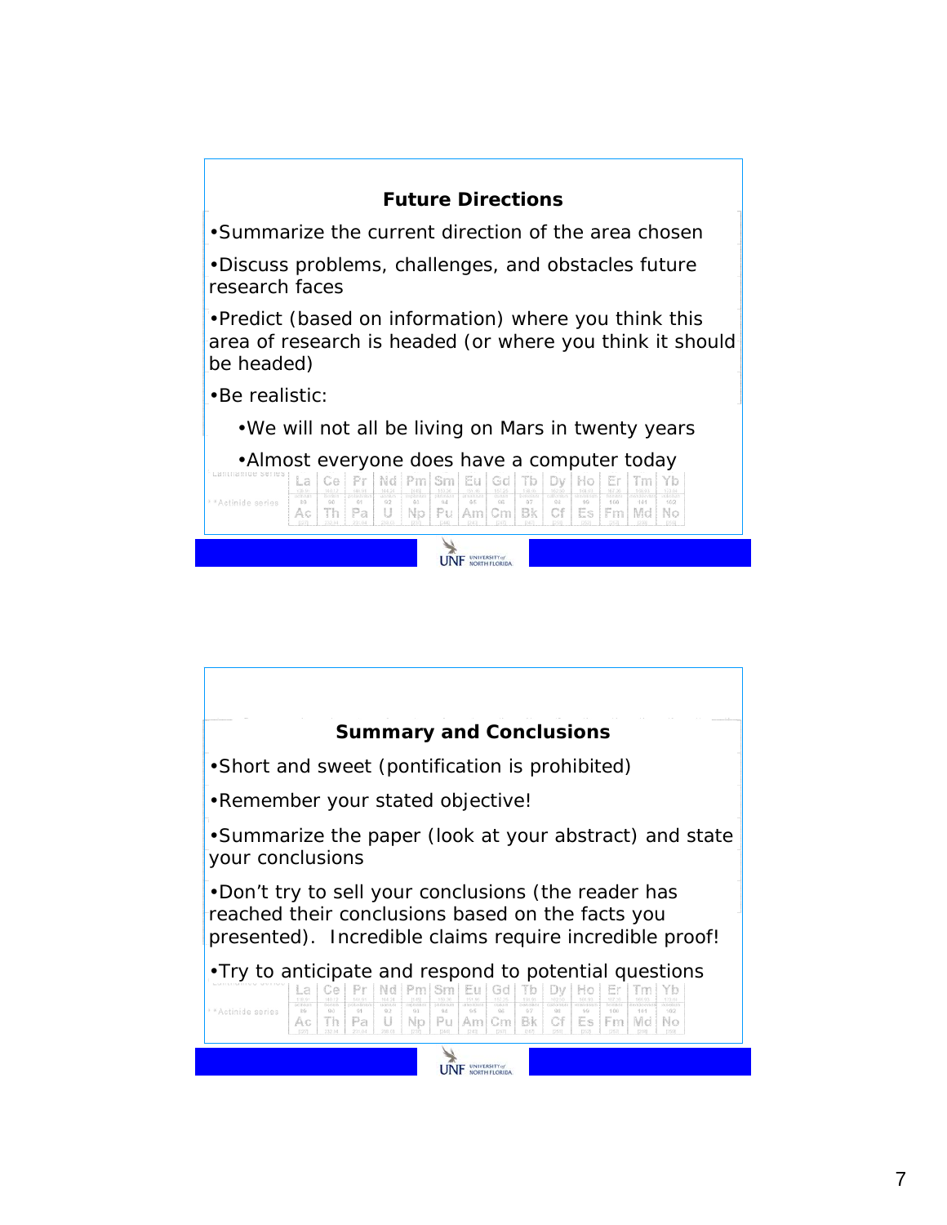| <b>Future Directions</b>                                                                                                                                                                                                                                  |
|-----------------------------------------------------------------------------------------------------------------------------------------------------------------------------------------------------------------------------------------------------------|
| •Summarize the current direction of the area chosen                                                                                                                                                                                                       |
| . Discuss problems, challenges, and obstacles future<br>research faces                                                                                                                                                                                    |
| • Predict (based on information) where you think this<br>area of research is headed (or where you think it should<br>be headed)                                                                                                                           |
| •Be realistic:                                                                                                                                                                                                                                            |
| . We will not all be living on Mars in twenty years                                                                                                                                                                                                       |
| •Almost everyone does have a computer today<br>Pml<br>Eu<br>Sm.<br>Gd<br>Nd<br>La<br>Ce<br><b>ASTRO</b><br>90<br>92<br>35<br>91<br>$94 -$<br>35<br>97<br>99<br>166<br>909<br>162<br>Actinide series<br>Th<br>Pa<br>$P_{1k}$<br>Np<br>Bk<br>Am<br>Es<br>Аc |
|                                                                                                                                                                                                                                                           |

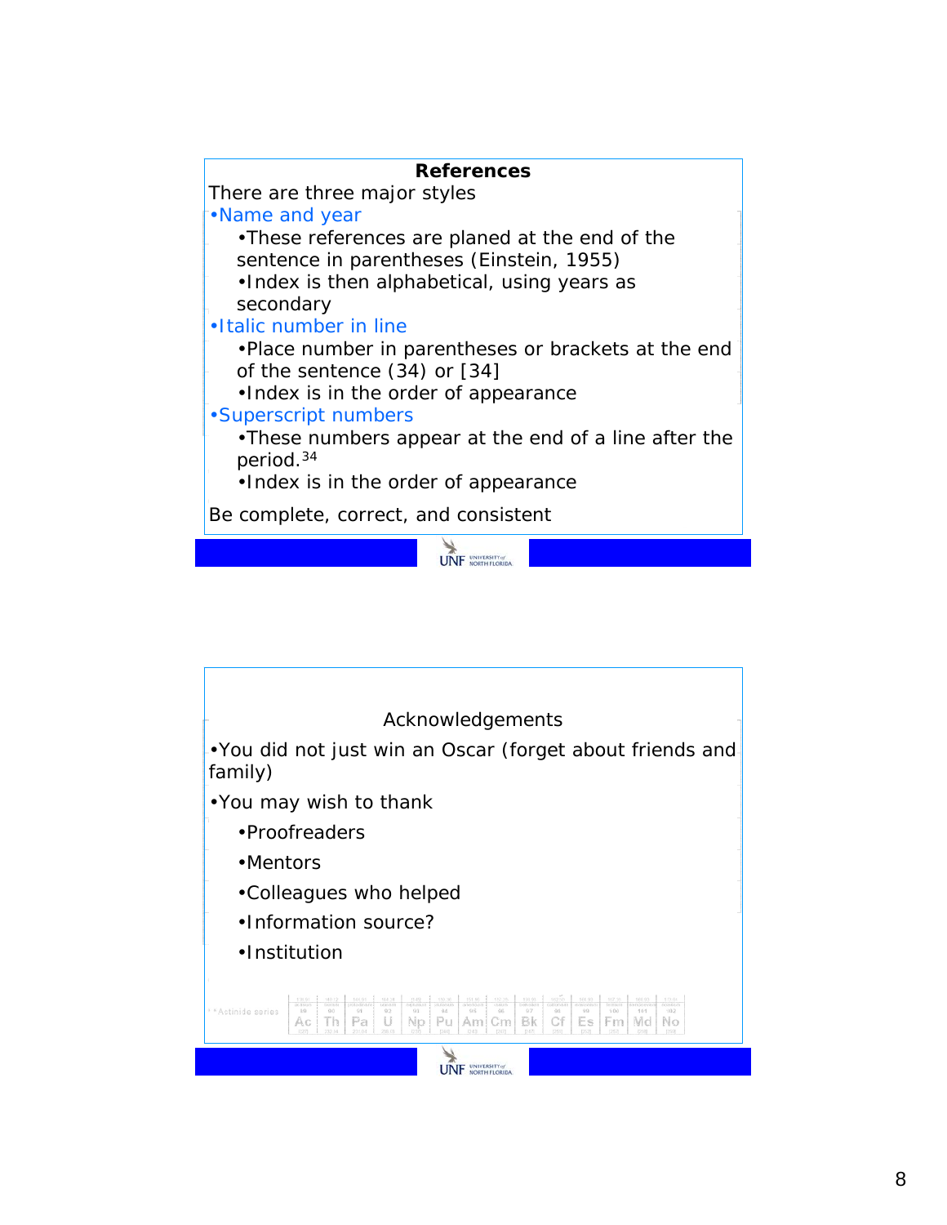

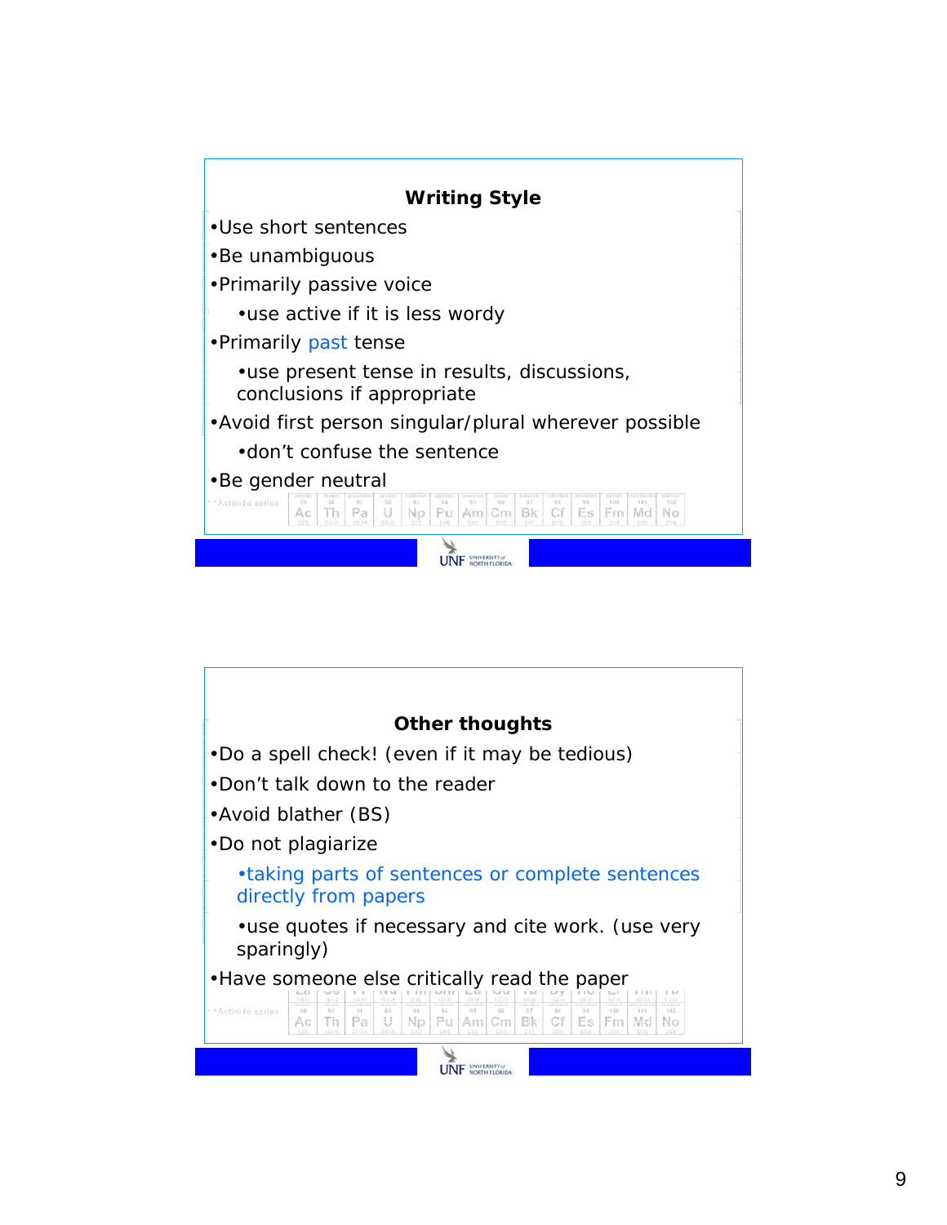